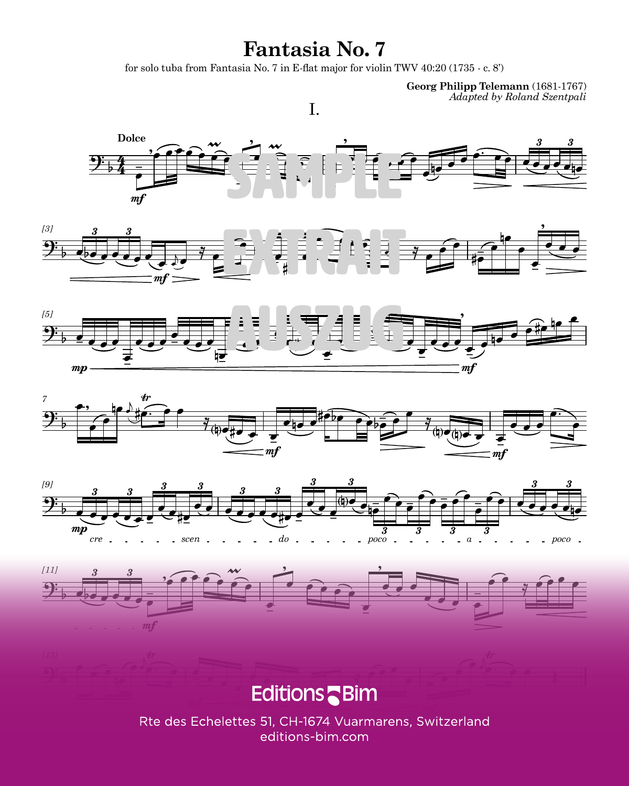### **Fantasia No. 7**

for solo tuba from Fantasia No. 7 in E-flat major for violin TWV  $40:20(1735 - c. 8')$ 

I.

**Georg Philipp Telemann** (1681-1767) *Adapted by Roland Szentpali*













#### Editions<sup>-</sup>  $\sqrt{1 + \frac{1}{2}}$  $25.1.01$

Rte des Echelettes 51, CH-1674 Vuarmarens, Switzerland editions-bim.com TU212 3 SUPERINTENDING STRUCTURE STRUCTURE STRUCTURE STRUCTURE STRUCTURE STRUCTURE STRUCTURE STRUCTURE STRUCTU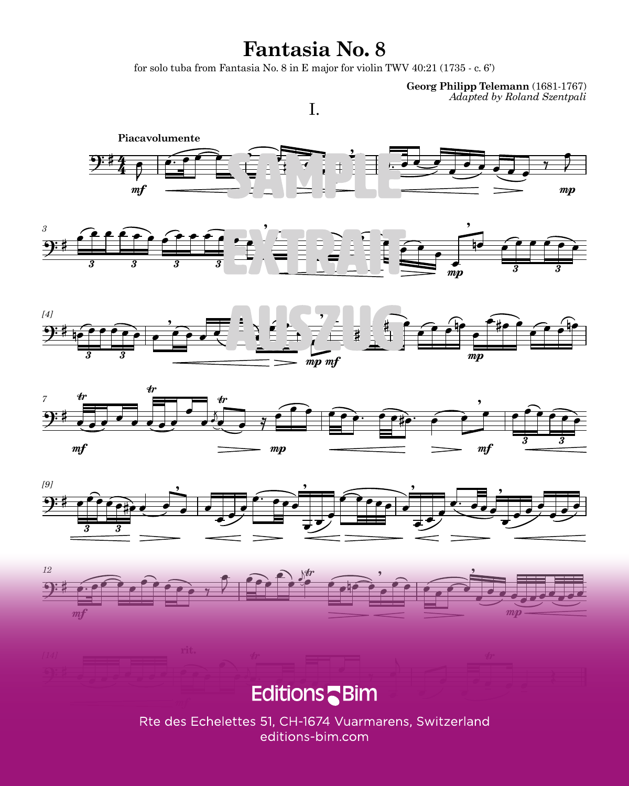# **Fantasia No. 8**

for solo tuba from Fantasia No.  $8$  in E major for violin TWV 40:21 (1735 - c. 6')

I.

**Georg Philipp Telemann** (1681-1767) *Adapted by Roland Szentpali*















editions-bim.com TU212 7 | TU212 7 | TU212 7 | TU212 7 | TU212 7 | TU212 7 | TU212 7 | TU212 7 | TU212 7 | TU212 7 | TU212 7 | TU